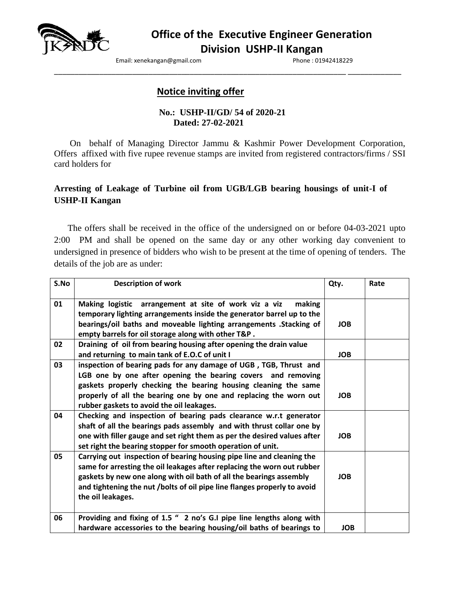

Email: xenekangan@gmail.com example and phone : 01942418229

# **Notice inviting offer**

### **No.: USHP-II/GD/ 54 of 2020-21 Dated: 27-02-2021**

\_\_\_\_\_\_\_\_\_\_\_\_\_\_\_\_\_\_\_\_\_\_\_\_\_\_\_\_\_\_\_\_\_\_\_\_\_\_\_\_\_\_\_\_\_\_\_\_\_\_\_\_\_\_\_\_\_\_\_\_\_\_\_\_\_\_\_\_\_\_\_ \_\_\_\_\_\_\_\_\_\_\_\_\_

On behalf of Managing Director Jammu & Kashmir Power Development Corporation, Offers affixed with five rupee revenue stamps are invited from registered contractors/firms / SSI card holders for

# **Arresting of Leakage of Turbine oil from UGB/LGB bearing housings of unit-I of USHP-II Kangan**

 The offers shall be received in the office of the undersigned on or before 04-03-2021 upto 2:00 PM and shall be opened on the same day or any other working day convenient to undersigned in presence of bidders who wish to be present at the time of opening of tenders. The details of the job are as under:

| S.No | <b>Description of work</b>                                                                                                                                                                                                                                                                                               | Qty.       | Rate |
|------|--------------------------------------------------------------------------------------------------------------------------------------------------------------------------------------------------------------------------------------------------------------------------------------------------------------------------|------------|------|
| 01   | Making logistic arrangement at site of work viz a viz<br>making<br>temporary lighting arrangements inside the generator barrel up to the<br>bearings/oil baths and moveable lighting arrangements . Stacking of<br>empty barrels for oil storage along with other T&P.                                                   | <b>JOB</b> |      |
| 02   | Draining of oil from bearing housing after opening the drain value<br>and returning to main tank of E.O.C of unit I                                                                                                                                                                                                      | <b>JOB</b> |      |
| 03   | inspection of bearing pads for any damage of UGB, TGB, Thrust and<br>LGB one by one after opening the bearing covers and removing<br>gaskets properly checking the bearing housing cleaning the same<br>properly of all the bearing one by one and replacing the worn out<br>rubber gaskets to avoid the oil leakages.   | <b>JOB</b> |      |
| 04   | Checking and inspection of bearing pads clearance w.r.t generator<br>shaft of all the bearings pads assembly and with thrust collar one by<br>one with filler gauge and set right them as per the desired values after<br>set right the bearing stopper for smooth operation of unit.                                    | <b>JOB</b> |      |
| 05   | Carrying out inspection of bearing housing pipe line and cleaning the<br>same for arresting the oil leakages after replacing the worn out rubber<br>gaskets by new one along with oil bath of all the bearings assembly<br>and tightening the nut /bolts of oil pipe line flanges properly to avoid<br>the oil leakages. | <b>JOB</b> |      |
| 06   | Providing and fixing of 1.5 " 2 no's G.I pipe line lengths along with<br>hardware accessories to the bearing housing/oil baths of bearings to                                                                                                                                                                            | <b>JOB</b> |      |